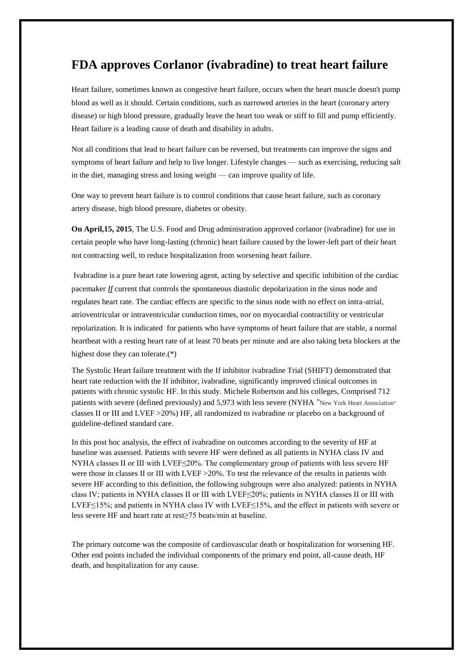## **FDA approves Corlanor (ivabradine) to treat heart failure**

Heart failure, sometimes known as congestive heart failure, occurs when the heart muscle doesn't pump blood as well as it should. Certain conditions, such as narrowed arteries in the heart (coronary artery disease) or high blood pressure, gradually leave the heart too weak or stiff to fill and pump efficiently. Heart failure is a leading cause of death and disability in adults.

Not all conditions that lead to heart failure can be reversed, but treatments can improve the signs and symptoms of heart failure and help to live longer. Lifestyle changes — such as exercising, reducing salt in the diet, managing stress and losing weight — can improve quality of life.

One way to prevent heart failure is to control conditions that cause heart failure, such as coronary artery disease, high blood pressure, diabetes or obesity.

**On April,15, 2015**, The U.S. Food and Drug administration approved corlanor (ivabradine) for use in certain people who have long-lasting (chronic) heart failure caused by the lower-left part of their heart not contracting well, to reduce hospitalization from worsening heart failure.

Ivabradine is a pure heart rate lowering agent, acting by selective and specific inhibition of the cardiac pacemaker *If* current that controls the spontaneous diastolic depolarization in the sinus node and regulates heart rate. The cardiac effects are specific to the sinus node with no effect on intra-atrial, atrioventricular or intraventricular conduction times, nor on myocardial contractility or ventricular repolarization. It is indicated for patients who have symptoms of heart failure that are stable, a normal heartbeat with a resting heart rate of at least 70 beats per minute and are also taking beta blockers at the highest dose they can tolerate.(\*)

The Systolic Heart failure treatment with the If inhibitor ivabradine Trial (SHIFT) demonstrated that heart rate reduction with the If inhibitor, ivabradine, significantly improved clinical outcomes in patients with chronic systolic HF. In this study. Michele Robertson and his colleges, Comprised 712 patients with severe (defined previously) and 5,973 with less severe (NYHA "New York Heart Association" classes II or III and LVEF >20%) HF, all randomized to ivabradine or placebo on a background of guideline-defined standard care.

In this post hoc analysis, the effect of ivabradine on outcomes according to the severity of HF at baseline was assessed. Patients with severe HF were defined as all patients in NYHA class IV and NYHA classes II or III with LVEF≤20%. The complementary group of patients with less severe HF were those in classes II or III with LVEF > 20%. To test the relevance of the results in patients with severe HF according to this definition, the following subgroups were also analyzed: patients in NYHA class IV; patients in NYHA classes II or III with LVEF≤20%; patients in NYHA classes II or III with LVEF≤15%; and patients in NYHA class IV with LVEF≤15%, and the effect in patients with severe or less severe HF and heart rate at rest≥75 beats/min at baseline.

The primary outcome was the composite of cardiovascular death or hospitalization for worsening HF. Other end points included the individual components of the primary end point, all-cause death, HF death, and hospitalization for any cause.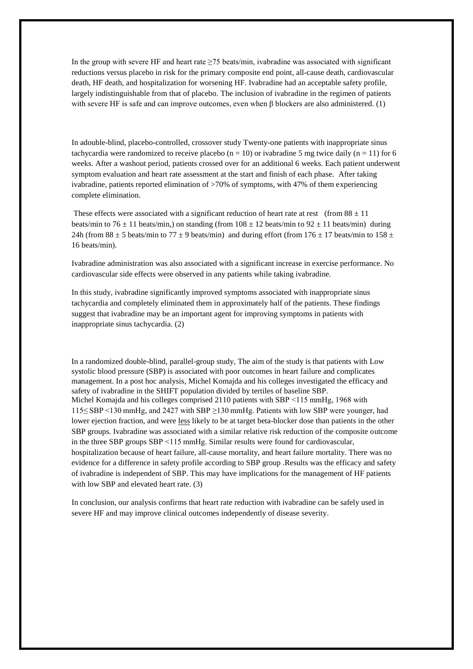In the group with severe HF and heart rate ≥75 beats/min, ivabradine was associated with significant reductions versus placebo in risk for the primary composite end point, all-cause death, cardiovascular death, HF death, and hospitalization for worsening HF. Ivabradine had an acceptable safety profile, largely indistinguishable from that of placebo. The inclusion of ivabradine in the regimen of patients with severe HF is safe and can improve outcomes, even when  $\beta$  blockers are also administered. (1)

In adouble-blind, placebo-controlled, crossover study Twenty-one patients with inappropriate sinus tachycardia were randomized to receive placebo ( $n = 10$ ) or ivabradine 5 mg twice daily ( $n = 11$ ) for 6 weeks. After a washout period, patients crossed over for an additional 6 weeks. Each patient underwent symptom evaluation and heart rate assessment at the start and finish of each phase. After taking ivabradine, patients reported elimination of >70% of symptoms, with 47% of them experiencing complete elimination.

These effects were associated with a significant reduction of heart rate at rest (from  $88 \pm 11$ ) beats/min to 76  $\pm$  11 beats/min,) on standing (from 108  $\pm$  12 beats/min to 92  $\pm$  11 beats/min) during 24h (from  $88 \pm 5$  beats/min to  $77 \pm 9$  beats/min) and during effort (from  $176 \pm 17$  beats/min to  $158 \pm 17$ 16 beats/min).

Ivabradine administration was also associated with a significant increase in exercise performance. No cardiovascular side effects were observed in any patients while taking ivabradine.

In this study, ivabradine significantly improved symptoms associated with inappropriate sinus tachycardia and completely eliminated them in approximately half of the patients. These findings suggest that ivabradine may be an important agent for improving symptoms in patients with inappropriate sinus tachycardia. (2)

In a randomized double-blind, parallel-group study, The aim of the study is that patients with Low systolic blood pressure (SBP) is associated with poor outcomes in heart failure and complicates management. In a post hoc analysis, Michel Komajda and his colleges investigated the efficacy and safety of ivabradine in the SHIFT population divided by tertiles of baseline SBP. Michel Komajda and his colleges comprised 2110 patients with SBP <115 mmHg, 1968 with 115≤ SBP <130 mmHg, and 2427 with SBP ≥130 mmHg. Patients with low SBP were younger, had lower ejection fraction, and were less likely to be at target beta-blocker dose than patients in the other SBP groups. Ivabradine was associated with a similar relative risk reduction of the composite outcome in the three SBP groups SBP <115 mmHg. Similar results were found for cardiovascular, hospitalization because of heart failure, all-cause mortality, and heart failure mortality. There was no evidence for a difference in safety profile according to SBP group .Results was the efficacy and safety of ivabradine is independent of SBP. This may have implications for the management of HF patients with low SBP and elevated heart rate. (3)

In conclusion, our analysis confirms that heart rate reduction with ivabradine can be safely used in severe HF and may improve clinical outcomes independently of disease severity.